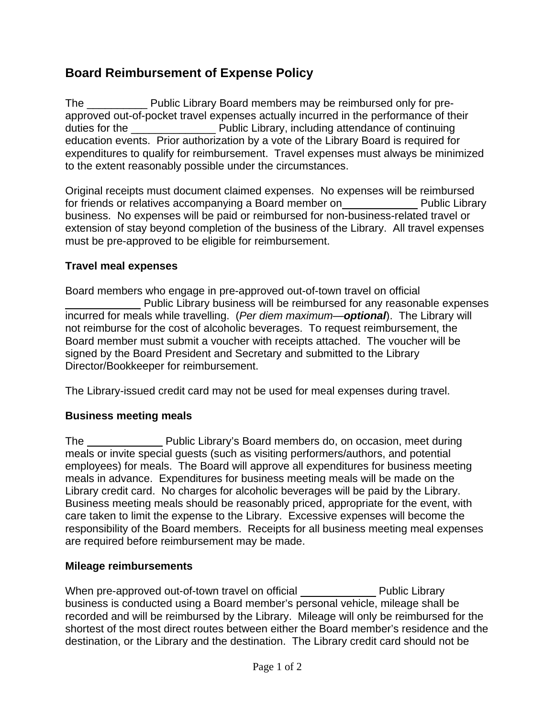# **Board Reimbursement of Expense Policy**

The \_\_\_\_\_\_\_\_\_\_ Public Library Board members may be reimbursed only for preapproved out-of-pocket travel expenses actually incurred in the performance of their duties for the **Example 20** Public Library, including attendance of continuing education events. Prior authorization by a vote of the Library Board is required for expenditures to qualify for reimbursement. Travel expenses must always be minimized to the extent reasonably possible under the circumstances.

Original receipts must document claimed expenses. No expenses will be reimbursed for friends or relatives accompanying a Board member on Public Library business. No expenses will be paid or reimbursed for non-business-related travel or extension of stay beyond completion of the business of the Library. All travel expenses must be pre-approved to be eligible for reimbursement.

#### **Travel meal expenses**

Board members who engage in pre-approved out-of-town travel on official Public Library business will be reimbursed for any reasonable expenses incurred for meals while travelling. (*Per diem maximum—optional*). The Library will not reimburse for the cost of alcoholic beverages. To request reimbursement, the Board member must submit a voucher with receipts attached. The voucher will be signed by the Board President and Secretary and submitted to the Library Director/Bookkeeper for reimbursement.

The Library-issued credit card may not be used for meal expenses during travel.

### **Business meeting meals**

The Public Library's Board members do, on occasion, meet during meals or invite special guests (such as visiting performers/authors, and potential employees) for meals. The Board will approve all expenditures for business meeting meals in advance. Expenditures for business meeting meals will be made on the Library credit card. No charges for alcoholic beverages will be paid by the Library. Business meeting meals should be reasonably priced, appropriate for the event, with care taken to limit the expense to the Library. Excessive expenses will become the responsibility of the Board members. Receipts for all business meeting meal expenses are required before reimbursement may be made.

#### **Mileage reimbursements**

When pre-approved out-of-town travel on official Public Library business is conducted using a Board member's personal vehicle, mileage shall be recorded and will be reimbursed by the Library. Mileage will only be reimbursed for the shortest of the most direct routes between either the Board member's residence and the destination, or the Library and the destination. The Library credit card should not be